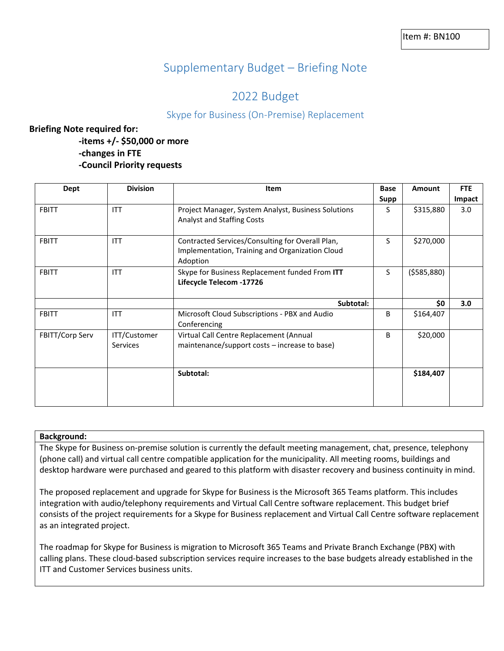# Supplementary Budget – Briefing Note

# 2022 Budget

## Skype for Business (On-Premise) Replacement

### **Briefing Note required for:**

**-items +/- \$50,000 or more -changes in FTE -Council Priority requests**

| <b>Dept</b>     | <b>Division</b>                 | Item                                                                                                            | <b>Base</b> | <b>Amount</b> | <b>FTE</b> |
|-----------------|---------------------------------|-----------------------------------------------------------------------------------------------------------------|-------------|---------------|------------|
|                 |                                 |                                                                                                                 | Supp        |               | Impact     |
| <b>FBITT</b>    | <b>ITT</b>                      | Project Manager, System Analyst, Business Solutions<br><b>Analyst and Staffing Costs</b>                        | S.          | \$315,880     | 3.0        |
| <b>FBITT</b>    | <b>ITT</b>                      | Contracted Services/Consulting for Overall Plan,<br>Implementation, Training and Organization Cloud<br>Adoption | S           | \$270,000     |            |
| <b>FBITT</b>    | <b>ITT</b>                      | Skype for Business Replacement funded From ITT<br>Lifecycle Telecom -17726                                      | S.          | (5585,880)    |            |
|                 |                                 | Subtotal:                                                                                                       |             | \$0           | 3.0        |
| <b>FBITT</b>    | <b>ITT</b>                      | Microsoft Cloud Subscriptions - PBX and Audio<br>Conferencing                                                   | B           | \$164,407     |            |
| FBITT/Corp Serv | ITT/Customer<br><b>Services</b> | Virtual Call Centre Replacement (Annual<br>maintenance/support costs - increase to base)                        | B.          | \$20,000      |            |
|                 |                                 | Subtotal:                                                                                                       |             | \$184,407     |            |

#### **Background:**

The Skype for Business on-premise solution is currently the default meeting management, chat, presence, telephony (phone call) and virtual call centre compatible application for the municipality. All meeting rooms, buildings and desktop hardware were purchased and geared to this platform with disaster recovery and business continuity in mind.

The proposed replacement and upgrade for Skype for Business is the Microsoft 365 Teams platform. This includes integration with audio/telephony requirements and Virtual Call Centre software replacement. This budget brief consists of the project requirements for a Skype for Business replacement and Virtual Call Centre software replacement as an integrated project.

The roadmap for Skype for Business is migration to Microsoft 365 Teams and Private Branch Exchange (PBX) with calling plans. These cloud-based subscription services require increases to the base budgets already established in the ITT and Customer Services business units.